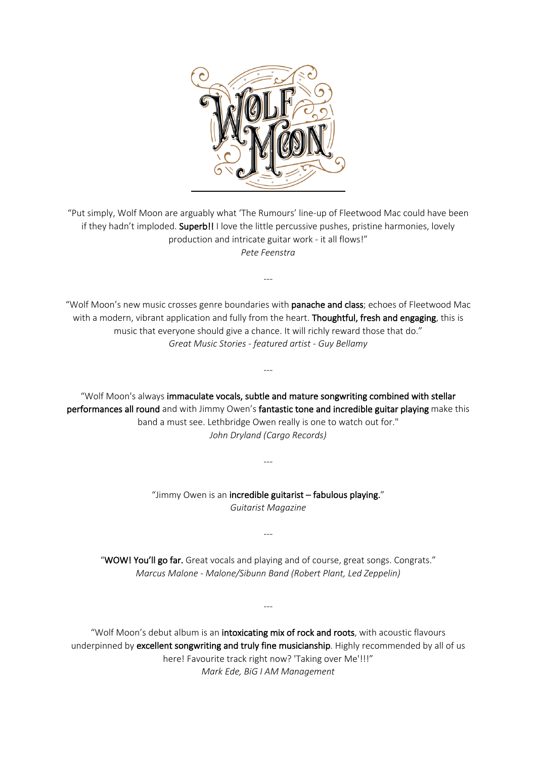

"Put simply, Wolf Moon are arguably what 'The Rumours' line-up of Fleetwood Mac could have been if they hadn't imploded. Superb!! I love the little percussive pushes, pristine harmonies, lovely production and intricate guitar work - it all flows!" *Pete Feenstra*

"Wolf Moon's new music crosses genre boundaries with panache and class; echoes of Fleetwood Mac with a modern, vibrant application and fully from the heart. Thoughtful, fresh and engaging, this is music that everyone should give a chance. It will richly reward those that do." *Great Music Stories - featured artist - Guy Bellamy*

*---*

*---*

"Wolf Moon's always immaculate vocals, subtle and mature songwriting combined with stellar performances all round and with Jimmy Owen's fantastic tone and incredible guitar playing make this band a must see. Lethbridge Owen really is one to watch out for." *John Dryland (Cargo Records)*

> "Jimmy Owen is an incredible guitarist - fabulous playing." *Guitarist Magazine*

> > *---*

---

"WOW! You'll go far. Great vocals and playing and of course, great songs. Congrats." *Marcus Malone - Malone/Sibunn Band (Robert Plant, Led Zeppelin)*

*---*

"Wolf Moon's debut album is an intoxicating mix of rock and roots, with acoustic flavours underpinned by excellent songwriting and truly fine musicianship. Highly recommended by all of us here! Favourite track right now? 'Taking over Me'!!!" *Mark Ede, BiG I AM Management*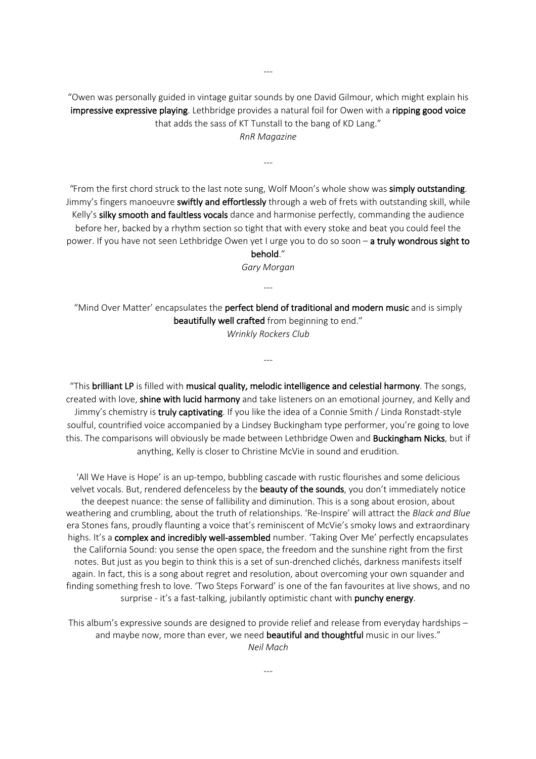"Owen was personally guided in vintage guitar sounds by one David Gilmour, which might explain his impressive expressive playing. Lethbridge provides a natural foil for Owen with a ripping good voice that adds the sass of KT Tunstall to the bang of KD Lang." *RnR Magazine*

*---*

*"*From the first chord struck to the last note sung, Wolf Moon's whole show was simply outstanding. Jimmy's fingers manoeuvre swiftly and effortlessly through a web of frets with outstanding skill, while Kelly's silky smooth and faultless vocals dance and harmonise perfectly, commanding the audience before her, backed by a rhythm section so tight that with every stoke and beat you could feel the power. If you have not seen Lethbridge Owen yet I urge you to do so soon - a truly wondrous sight to behold."

*Gary Morgan*

*---*

"Mind Over Matter' encapsulates the perfect blend of traditional and modern music and is simply beautifully well crafted from beginning to end."

*Wrinkly Rockers Club*

*---*

"This brilliant LP is filled with musical quality, melodic intelligence and celestial harmony. The songs, created with love, shine with lucid harmony and take listeners on an emotional journey, and Kelly and Jimmy's chemistry is truly captivating. If you like the idea of a Connie Smith / Linda Ronstadt-style soulful, countrified voice accompanied by a Lindsey Buckingham type performer, you're going to love this. The comparisons will obviously be made between Lethbridge Owen and Buckingham Nicks, but if anything, Kelly is closer to Christine McVie in sound and erudition.

'All We Have is Hope' is an up-tempo, bubbling cascade with rustic flourishes and some delicious velvet vocals. But, rendered defenceless by the beauty of the sounds, you don't immediately notice the deepest nuance: the sense of fallibility and diminution. This is a song about erosion, about weathering and crumbling, about the truth of relationships. 'Re-Inspire' will attract the *Black and Blue* era Stones fans, proudly flaunting a voice that's reminiscent of McVie's smoky lows and extraordinary highs. It's a complex and incredibly well-assembled number. 'Taking Over Me' perfectly encapsulates the California Sound: you sense the open space, the freedom and the sunshine right from the first notes. But just as you begin to think this is a set of sun-drenched clichés, darkness manifests itself again. In fact, this is a song about regret and resolution, about overcoming your own squander and finding something fresh to love. 'Two Steps Forward' is one of the fan favourites at live shows, and no surprise - it's a fast-talking, jubilantly optimistic chant with punchy energy.

This album's expressive sounds are designed to provide relief and release from everyday hardships – and maybe now, more than ever, we need beautiful and thoughtful music in our lives." *Neil Mach*

*---*

*---*